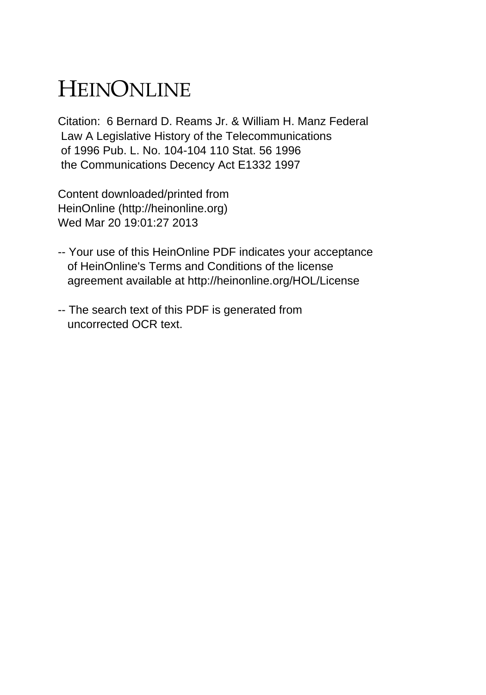## HEINONLINE

Citation: 6 Bernard D. Reams Jr. & William H. Manz Federal Law A Legislative History of the Telecommunications of 1996 Pub. L. No. 104-104 110 Stat. 56 1996 the Communications Decency Act E1332 1997

Content downloaded/printed from HeinOnline (http://heinonline.org) Wed Mar 20 19:01:27 2013

- -- Your use of this HeinOnline PDF indicates your acceptance of HeinOnline's Terms and Conditions of the license agreement available at http://heinonline.org/HOL/License
- -- The search text of this PDF is generated from uncorrected OCR text.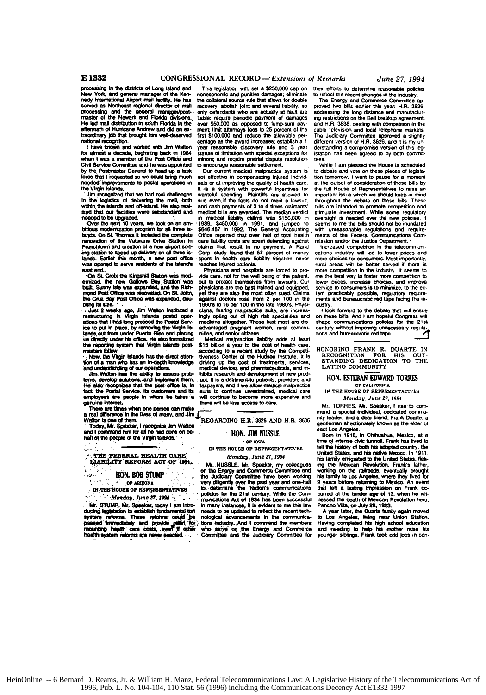## **E 1332 CONGRESSIONAL** *RECORD -"Extensions of Remarks June 27, 1994*

when I was a member of the Post Office and minors; and require pretrial dispute resolution tees.<br>Civil Service Committee and he was appointed to encourage reasonable settlement. While I am pleased the House is scheduled

Frenchtown and creation of a new airport son- claims that result in no payment. A Rand Increased competition in the telecommuni-<br>Ing station to speed up delivery on all three is- Corp. study found that 57 percent of money

restructuring in Virgin Islands postal oper- ingly opting out of high risk specialities and on these bills. And I am hopeful Congress will<br>existency in the set of the set of the set of the present of the set of the set of Now, the Virgin Islands has the direct attention and series and senior citizens.<br>
The reporting inities and senior citizens.<br>
The reporting instance is the set of the set of the set of the set of the reporting a set of the

**employees are people** in **whom** he **takes** a **will.** continue to become more expensive and Monday. June *27.* **1994** employees are people in whom he takes a will continue to become more expensive and *Monday, June 27, 1994*<br>
genuine interests access to care.<br> **There are times when one person can make interes.** There is a more and a spe

Today, Mr. Speaker, I recognize Jim Walton **Exercisive True Control** 1.1.1. 3000 gentleman affectionately known as the elder of<br>and I commend him for all he had done on be-<br>half of the people of the Virgin Islands. The MR.

 $\sim 10$ 

processing in the districts of Long Island and This legislation will: set a \$250,000 cap on their efforts to determine reasonable policies<br>New York, and general manager of the Ken- noneconomic and punitive damages; elimina nedy international Airport mail tactify. He has the collateral source rule that allows for double<br>Served as Northeast regional director of mail recovery; abolish joint and several liability, so proved two bills earlier thi processing and the general manager/post- only detendants who are actually at fault are addressing the long distance and manufacturity. Some the state of the Newark and manufacturity of the Newark and Florida divisions. Eab master of the Newark and Florida divisions. Univ convenius wive a reassant at damages ing restrictions on the Bell breakup agreement,<br>He led mail distribution in south Florida in the over \$50,000 as opposed to lump-sum pay transmitted by that brought him well-deserved first \$100,000 and reduce the allowable per- The television and local telephone markets.<br>In the state of the store of the store of the store of the store of the store of the Ju centage as the award increases; establish a 1 different version of H.R. 3626, and it is my un-<br>I have known and worked with Jim Walton year reasonable discovery rule and 3 year derstanding a compromise version of this leg-

In the logistics of delivering the mail, both sue even if the facts do not ment a lawsuri, throughout the debate on these bills. These<br>within the islands and off-island. He also real- and cash payments of 3 to 4 times clai we use the medical liability claims was stated on the examely in medical liability claims was \$150,000 in oversight is needed over the new policies, it Cyer the new toricines were substantial in medical liability claims wa ing station to speed up delivery on all three is- Corp. study found that 57 percent of money cations industry will led to lower prices and<br>lands. Earlier this month, a new post office spent in health care liability litigat

vide care, not for the well being of the patient, me the best way to foster more competition to but to protect themselves from lawsuits. Our lower prices, increase choices, and improve **emizd, the** new Gallows Bay Station was but to protect themselves from lawsuits. Our lower **prices.** increase choices, and Improve erations that it and be the Rich physicians are the best trained and equipped, service to consumers is to minimize, to the ex-<br>mond Post Office was expanded, and the Rich-physicians are the best trained and equipped, servi

**rasters follow. inclusion asset as the direct attent the nearst Center of the Hudson Institute. It <b>Is RECOGNITION FOR HIS OUT-**<br>
tion of a man who has an in-depth knowledge driving up the cost of treatments, services inverses center of the hudson institute. It is<br>driving up the cost of treatments, services.<br>medical devices and pharmaceuticals, and in-<br>hibits research and development of new prodand understanding of our operations.<br>
Time Walton has the ability to assess prob. hibits research and development of new prod.<br>
How has the ebility to assess prob. hibits research and development of new prod.<br>
He also reco **th and if we allow medical malpractice** or california continue urestralned. The suits to continue urestralned, medical care <br>
will sontinue to become more expensive and **Monday PREPRESENTATIVES**<br>
Microditive to become mor

**- or ARIZONA very diligently over the past year and one-haif<br>
<b>PATZINE BOUGE OF RESPRESENTATIVES to determine the Nation's communications**<br> **A distribution** *and <b>particular* **particular particular particular** EXECUTION AND CONSULTATIVES to determine the Nation's communications that left a lasting impression on Frank oc-<br>All interests in the 21st century. While the Consultations of the Same of the Society of the state of the wha In many instances, it is evident to me this law. Pancho Villa, on July 20, 1923.<br>In many instances, it is evident to me this law. Pancho Villa, on July 20, 1923.<br>Insects to be updated to reflect the recent tech- A year lat Mr. STUNE Mr. Speeler, bost 1977 and the main testions Act of 1934 has been successful<br>with STUNE Mr. Speeler, bost 1939 am intro- in many instances, it is evident to me this law<br>ducing legislation to establish fundamental

by the Postmaster General to head up a task Our current medical mapractice system is to debate and vote on these pieces of legisla-<br>force that is compensation of the critical mapractice system is to debate and vote on thes

was opened to serve residents of the Island's reaches injured pallents. The connection in the induction in the state of the state of the state of the state of the state of the state of the state of the state of the state o

mend a special individual, dedicated commu-<br>REGARDING H.R. 3826 AND H.R. 3636 and **a dear friend**, Frank Duarde, a<br> **REGARDING H.R. 3826 AND H.R. 3636** and **a** mend a special individual, dedicated community and Jim control of the method of the method of them. REGARDING H.R. 3826 AND H.R. 3836 antiberana distribution and a dear them. REGARDING H.R. 3826 AND H.R. 3836 antiberana di

Born In 1910, in Chihuahua, Mexico, at a<br>time of intense civic turmoil, Frank has fived to IN THE HOUSE OF REPRESENTATIVES the the history of both his adopted country, the<br>
THE PEOPERAL HEALTH CARE Monday, June 27, 1994<br>
ELABILITY REFORM ACT OF 1994. HTY REFORM ACT OF 1994.<br>
Mr. NUSSLE. Mr. Speaker, my colleagues ing the Mexican Revolution. Frank's tatter,<br>
TOR STUMP the Judiciary Committee have been working in the rationals, eventually brought<br>
the Judiciary Committee Committee have been working his family to Los Angeles, where they lived to<br>r over the past year and one-half 9 years before returning to Mexico. An event

tsafth yiterrin rabm **am** never ecti.d. **Commtee and the** Judiciary Committee for younger siblings, rank **took odd jobs** In con-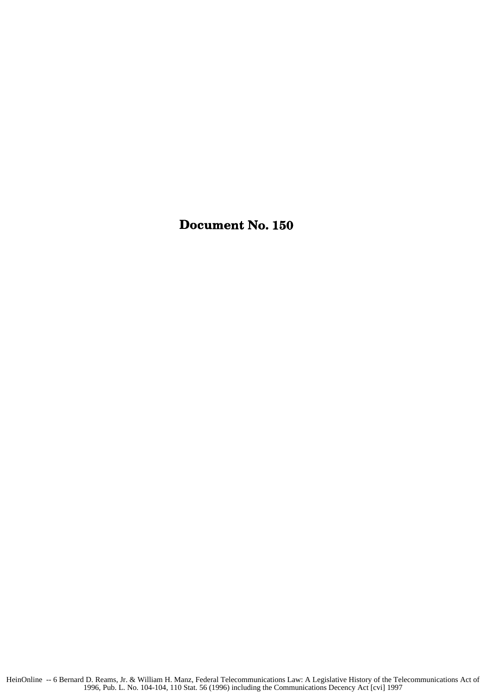Document No. **150**